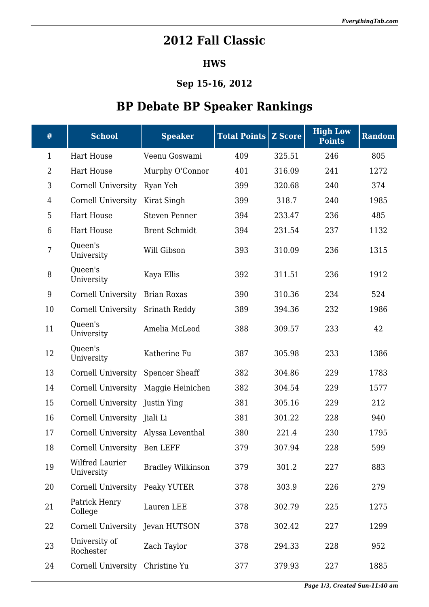## **2012 Fall Classic**

## **HWS**

## **Sep 15-16, 2012**

## **BP Debate BP Speaker Rankings**

| $\#$           | <b>School</b>                       | <b>Speaker</b>           | <b>Total Points Z Score</b> |        | <b>High Low</b><br><b>Points</b> | <b>Random</b> |
|----------------|-------------------------------------|--------------------------|-----------------------------|--------|----------------------------------|---------------|
| $\mathbf{1}$   | <b>Hart House</b>                   | Veenu Goswami            | 409                         | 325.51 | 246                              | 805           |
| $\overline{2}$ | <b>Hart House</b>                   | Murphy O'Connor          | 401                         | 316.09 | 241                              | 1272          |
| 3              | Cornell University                  | Ryan Yeh                 | 399                         | 320.68 | 240                              | 374           |
| $\overline{4}$ | <b>Cornell University</b>           | Kirat Singh              | 399                         | 318.7  | 240                              | 1985          |
| 5              | <b>Hart House</b>                   | <b>Steven Penner</b>     | 394                         | 233.47 | 236                              | 485           |
| 6              | <b>Hart House</b>                   | <b>Brent Schmidt</b>     | 394                         | 231.54 | 237                              | 1132          |
| 7              | Queen's<br>University               | Will Gibson              | 393                         | 310.09 | 236                              | 1315          |
| 8              | Queen's<br>University               | Kaya Ellis               | 392                         | 311.51 | 236                              | 1912          |
| 9              | Cornell University                  | <b>Brian Roxas</b>       | 390                         | 310.36 | 234                              | 524           |
| 10             | Cornell University                  | Srinath Reddy            | 389                         | 394.36 | 232                              | 1986          |
| 11             | Queen's<br>University               | Amelia McLeod            | 388                         | 309.57 | 233                              | 42            |
| 12             | Queen's<br>University               | Katherine Fu             | 387                         | 305.98 | 233                              | 1386          |
| 13             | Cornell University                  | <b>Spencer Sheaff</b>    | 382                         | 304.86 | 229                              | 1783          |
| 14             | <b>Cornell University</b>           | Maggie Heinichen         | 382                         | 304.54 | 229                              | 1577          |
| 15             | Cornell University                  | Justin Ying              | 381                         | 305.16 | 229                              | 212           |
| 16             | <b>Cornell University</b>           | Jiali Li                 | 381                         | 301.22 | 228                              | 940           |
| 17             | Cornell University Alyssa Leventhal |                          | 380                         | 221.4  | 230                              | 1795          |
| 18             | Cornell University Ben LEFF         |                          | 379                         | 307.94 | 228                              | 599           |
| 19             | Wilfred Laurier<br>University       | <b>Bradley Wilkinson</b> | 379                         | 301.2  | 227                              | 883           |
| 20             | <b>Cornell University</b>           | Peaky YUTER              | 378                         | 303.9  | 226                              | 279           |
| 21             | Patrick Henry<br>College            | Lauren LEE               | 378                         | 302.79 | 225                              | 1275          |
| 22             | Cornell University                  | Jevan HUTSON             | 378                         | 302.42 | 227                              | 1299          |
| 23             | University of<br>Rochester          | Zach Taylor              | 378                         | 294.33 | 228                              | 952           |
| 24             | Cornell University                  | Christine Yu             | 377                         | 379.93 | 227                              | 1885          |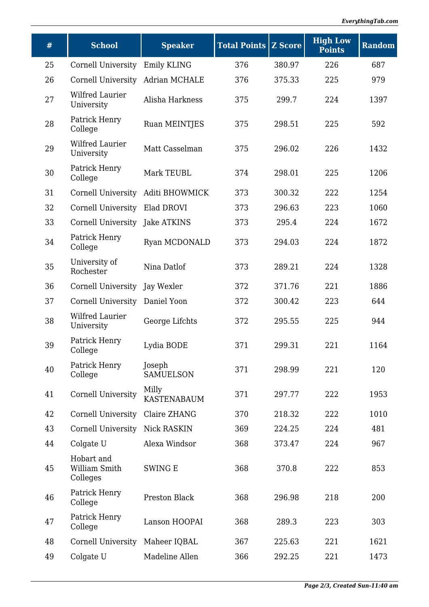| #  | <b>School</b>                           | <b>Speaker</b>              | <b>Total Points Z Score</b> |        | <b>High Low</b><br><b>Points</b> | <b>Random</b> |
|----|-----------------------------------------|-----------------------------|-----------------------------|--------|----------------------------------|---------------|
| 25 | Cornell University                      | Emily KLING                 | 376                         | 380.97 | 226                              | 687           |
| 26 | Cornell University                      | <b>Adrian MCHALE</b>        | 376                         | 375.33 | 225                              | 979           |
| 27 | Wilfred Laurier<br>University           | Alisha Harkness             | 375                         | 299.7  | 224                              | 1397          |
| 28 | Patrick Henry<br>College                | Ruan MEINTJES               | 375                         | 298.51 | 225                              | 592           |
| 29 | Wilfred Laurier<br>University           | Matt Casselman              | 375                         | 296.02 | 226                              | 1432          |
| 30 | Patrick Henry<br>College                | Mark TEUBL                  | 374                         | 298.01 | 225                              | 1206          |
| 31 | Cornell University                      | Aditi BHOWMICK              | 373                         | 300.32 | 222                              | 1254          |
| 32 | Cornell University                      | Elad DROVI                  | 373                         | 296.63 | 223                              | 1060          |
| 33 | Cornell University                      | Jake ATKINS                 | 373                         | 295.4  | 224                              | 1672          |
| 34 | Patrick Henry<br>College                | Ryan MCDONALD               | 373                         | 294.03 | 224                              | 1872          |
| 35 | University of<br>Rochester              | Nina Datlof                 | 373                         | 289.21 | 224                              | 1328          |
| 36 | Cornell University                      | Jay Wexler                  | 372                         | 371.76 | 221                              | 1886          |
| 37 | Cornell University                      | Daniel Yoon                 | 372                         | 300.42 | 223                              | 644           |
| 38 | Wilfred Laurier<br>University           | George Lifchts              | 372                         | 295.55 | 225                              | 944           |
| 39 | Patrick Henry<br>College                | Lydia BODE                  | 371                         | 299.31 | 221                              | 1164          |
| 40 | Patrick Henry<br>College                | Joseph<br><b>SAMUELSON</b>  | 371                         | 298.99 | 221                              | 120           |
| 41 | <b>Cornell University</b>               | Milly<br><b>KASTENABAUM</b> | 371                         | 297.77 | 222                              | 1953          |
| 42 | Cornell University                      | Claire ZHANG                | 370                         | 218.32 | 222                              | 1010          |
| 43 | Cornell University                      | Nick RASKIN                 | 369                         | 224.25 | 224                              | 481           |
| 44 | Colgate U                               | Alexa Windsor               | 368                         | 373.47 | 224                              | 967           |
| 45 | Hobart and<br>William Smith<br>Colleges | <b>SWING E</b>              | 368                         | 370.8  | 222                              | 853           |
| 46 | Patrick Henry<br>College                | Preston Black               | 368                         | 296.98 | 218                              | 200           |
| 47 | Patrick Henry<br>College                | Lanson HOOPAI               | 368                         | 289.3  | 223                              | 303           |
| 48 | <b>Cornell University</b>               | Maheer IQBAL                | 367                         | 225.63 | 221                              | 1621          |
| 49 | Colgate U                               | Madeline Allen              | 366                         | 292.25 | 221                              | 1473          |